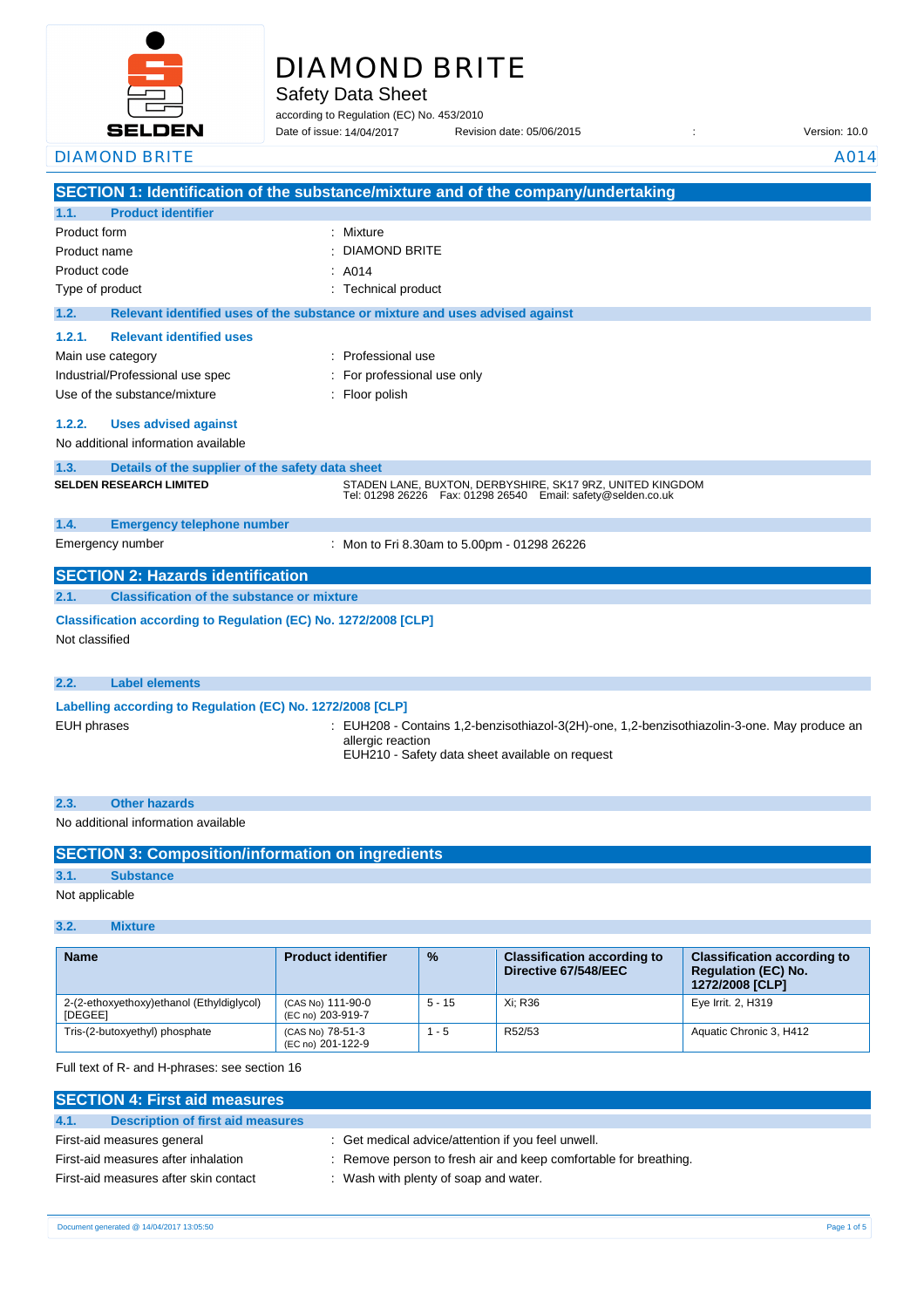

# DIAMOND BRITE

Safety Data Sheet

according to Regulation (EC) No. 453/2010

Date of issue: Revision date: 05/06/2015 : Version: 10.0 DIAMOND BRITE A014 Date of issue: 14/04/2017

|                                                                 | SECTION 1: Identification of the substance/mixture and of the company/undertaking                                                                                    |
|-----------------------------------------------------------------|----------------------------------------------------------------------------------------------------------------------------------------------------------------------|
| <b>Product identifier</b><br>1.1.                               |                                                                                                                                                                      |
| Product form                                                    | : Mixture                                                                                                                                                            |
| Product name                                                    | : DIAMOND BRITE                                                                                                                                                      |
| Product code                                                    | : A014                                                                                                                                                               |
| Type of product                                                 | : Technical product                                                                                                                                                  |
| 1.2.                                                            | Relevant identified uses of the substance or mixture and uses advised against                                                                                        |
| 1.2.1.<br><b>Relevant identified uses</b>                       |                                                                                                                                                                      |
| Main use category                                               | : Professional use                                                                                                                                                   |
| Industrial/Professional use spec                                | For professional use only                                                                                                                                            |
| Use of the substance/mixture                                    | Floor polish                                                                                                                                                         |
|                                                                 |                                                                                                                                                                      |
| 1.2.2.<br><b>Uses advised against</b>                           |                                                                                                                                                                      |
| No additional information available                             |                                                                                                                                                                      |
| Details of the supplier of the safety data sheet<br>1.3.        |                                                                                                                                                                      |
| <b>SELDEN RESEARCH LIMITED</b>                                  | STADEN LANE, BUXTON, DERBYSHIRE, SK17 9RZ, UNITED KINGDOM<br>Tel: 01298 26226    Fax: 01298 26540    Email: safety@selden.co.uk                                      |
| 1.4.<br><b>Emergency telephone number</b>                       |                                                                                                                                                                      |
| Emergency number                                                | : Mon to Fri 8.30am to 5.00pm - 01298 26226                                                                                                                          |
| <b>SECTION 2: Hazards identification</b>                        |                                                                                                                                                                      |
| <b>Classification of the substance or mixture</b><br>2.1.       |                                                                                                                                                                      |
| Classification according to Regulation (EC) No. 1272/2008 [CLP] |                                                                                                                                                                      |
| Not classified                                                  |                                                                                                                                                                      |
|                                                                 |                                                                                                                                                                      |
| <b>Label elements</b><br>2.2.                                   |                                                                                                                                                                      |
| Labelling according to Regulation (EC) No. 1272/2008 [CLP]      |                                                                                                                                                                      |
| <b>EUH phrases</b>                                              | : EUH208 - Contains 1,2-benzisothiazol-3(2H)-one, 1,2-benzisothiazolin-3-one. May produce an<br>allergic reaction<br>EUH210 - Safety data sheet available on request |

# **2.3. Other hazards** No additional information available

|                | <b>SECTION 3: Composition/information on ingredients</b> |
|----------------|----------------------------------------------------------|
| 3.1.           | <b>Substance</b>                                         |
| Not applicable |                                                          |

## **3.2. Mixture**

| <b>Name</b>                                                 | <b>Product identifier</b>              | $\frac{9}{6}$ | <b>Classification according to</b><br>Directive 67/548/EEC | <b>Classification according to</b><br><b>Requlation (EC) No.</b><br>1272/2008 [CLP] |
|-------------------------------------------------------------|----------------------------------------|---------------|------------------------------------------------------------|-------------------------------------------------------------------------------------|
| 2-(2-ethoxyethoxy)ethanol (Ethyldiglycol)<br><b>IDEGEE1</b> | (CAS No) 111-90-0<br>(EC no) 203-919-7 | $5 - 15$      | Xi: R36                                                    | Eye Irrit. 2, H319                                                                  |
| Tris-(2-butoxyethyl) phosphate                              | (CAS No) 78-51-3<br>(EC no) 201-122-9  | - 5           | R52/53                                                     | Aquatic Chronic 3, H412                                                             |

Full text of R- and H-phrases: see section 16

| <b>SECTION 4: First aid measures</b>      |                                                                  |  |  |
|-------------------------------------------|------------------------------------------------------------------|--|--|
| 4.1.<br>Description of first aid measures |                                                                  |  |  |
| First-aid measures general                | : Get medical advice/attention if you feel unwell.               |  |  |
| First-aid measures after inhalation       | : Remove person to fresh air and keep comfortable for breathing. |  |  |
| First-aid measures after skin contact     | : Wash with plenty of soap and water.                            |  |  |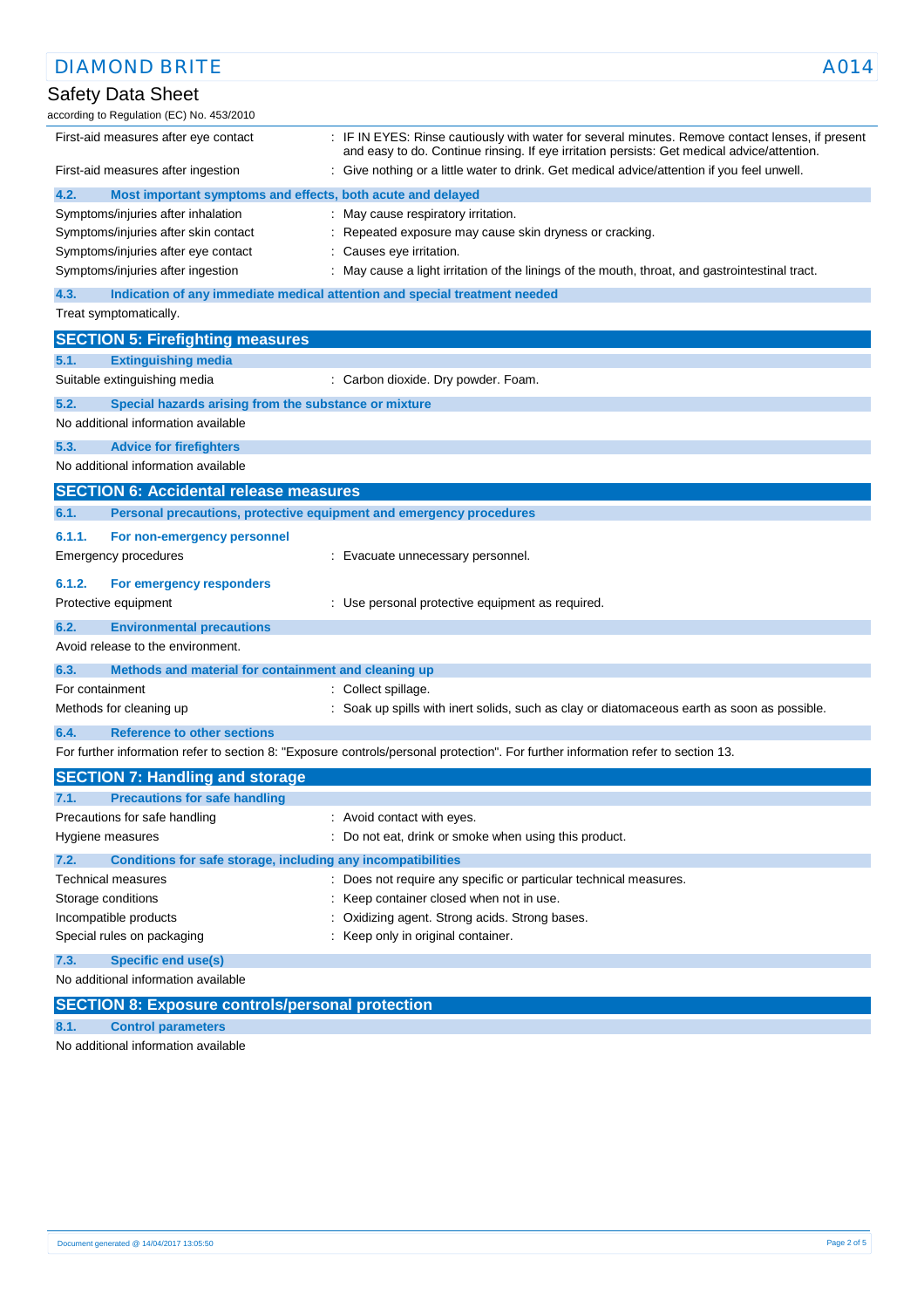| <b>DIAMOND BRITE</b>                                                                              | A014                                                                                                                                                                                            |
|---------------------------------------------------------------------------------------------------|-------------------------------------------------------------------------------------------------------------------------------------------------------------------------------------------------|
| Safety Data Sheet<br>according to Regulation (EC) No. 453/2010                                    |                                                                                                                                                                                                 |
| First-aid measures after eye contact                                                              | : IF IN EYES: Rinse cautiously with water for several minutes. Remove contact lenses, if present<br>and easy to do. Continue rinsing. If eye irritation persists: Get medical advice/attention. |
| First-aid measures after ingestion                                                                | Give nothing or a little water to drink. Get medical advice/attention if you feel unwell.                                                                                                       |
| 4.2.<br>Most important symptoms and effects, both acute and delayed                               |                                                                                                                                                                                                 |
| Symptoms/injuries after inhalation                                                                | : May cause respiratory irritation.                                                                                                                                                             |
| Symptoms/injuries after skin contact                                                              | : Repeated exposure may cause skin dryness or cracking.                                                                                                                                         |
| Symptoms/injuries after eye contact                                                               | : Causes eye irritation.                                                                                                                                                                        |
| Symptoms/injuries after ingestion                                                                 | : May cause a light irritation of the linings of the mouth, throat, and gastrointestinal tract.                                                                                                 |
| 4.3.                                                                                              | Indication of any immediate medical attention and special treatment needed                                                                                                                      |
| Treat symptomatically.                                                                            |                                                                                                                                                                                                 |
| <b>SECTION 5: Firefighting measures</b>                                                           |                                                                                                                                                                                                 |
| <b>Extinguishing media</b><br>5.1.                                                                |                                                                                                                                                                                                 |
| Suitable extinguishing media                                                                      | : Carbon dioxide. Dry powder. Foam.                                                                                                                                                             |
| 5.2.<br>Special hazards arising from the substance or mixture                                     |                                                                                                                                                                                                 |
| No additional information available                                                               |                                                                                                                                                                                                 |
| 5.3.<br><b>Advice for firefighters</b>                                                            |                                                                                                                                                                                                 |
| No additional information available                                                               |                                                                                                                                                                                                 |
| <b>SECTION 6: Accidental release measures</b>                                                     |                                                                                                                                                                                                 |
| Personal precautions, protective equipment and emergency procedures<br>6.1.                       |                                                                                                                                                                                                 |
| 6.1.1.<br>For non-emergency personnel                                                             |                                                                                                                                                                                                 |
| Emergency procedures                                                                              | : Evacuate unnecessary personnel.                                                                                                                                                               |
| 6.1.2.<br>For emergency responders                                                                |                                                                                                                                                                                                 |
| Protective equipment                                                                              | : Use personal protective equipment as required.                                                                                                                                                |
| 6.2.<br><b>Environmental precautions</b>                                                          |                                                                                                                                                                                                 |
| Avoid release to the environment.                                                                 |                                                                                                                                                                                                 |
| 6.3.<br>Methods and material for containment and cleaning up                                      |                                                                                                                                                                                                 |
| For containment                                                                                   | : Collect spillage.                                                                                                                                                                             |
| Methods for cleaning up                                                                           | : Soak up spills with inert solids, such as clay or diatomaceous earth as soon as possible.                                                                                                     |
| <b>Reference to other sections</b><br>6.4.                                                        |                                                                                                                                                                                                 |
|                                                                                                   | For further information refer to section 8: "Exposure controls/personal protection". For further information refer to section 13.                                                               |
|                                                                                                   |                                                                                                                                                                                                 |
| <b>SECTION 7: Handling and storage</b>                                                            |                                                                                                                                                                                                 |
| <b>Precautions for safe handling</b><br>7.1.<br>Precautions for safe handling                     | : Avoid contact with eyes.                                                                                                                                                                      |
| Hygiene measures                                                                                  | : Do not eat, drink or smoke when using this product.                                                                                                                                           |
|                                                                                                   |                                                                                                                                                                                                 |
| 7.2.<br>Conditions for safe storage, including any incompatibilities<br><b>Technical measures</b> | : Does not require any specific or particular technical measures.                                                                                                                               |
| Storage conditions                                                                                | Keep container closed when not in use.                                                                                                                                                          |
| Incompatible products                                                                             | Oxidizing agent. Strong acids. Strong bases.                                                                                                                                                    |
| Special rules on packaging                                                                        | Keep only in original container.                                                                                                                                                                |
| 7.3.<br><b>Specific end use(s)</b>                                                                |                                                                                                                                                                                                 |
| No additional information available                                                               |                                                                                                                                                                                                 |
|                                                                                                   |                                                                                                                                                                                                 |
| <b>SECTION 8: Exposure controls/personal protection</b>                                           |                                                                                                                                                                                                 |

## **8.1. Control parameters**

No additional information available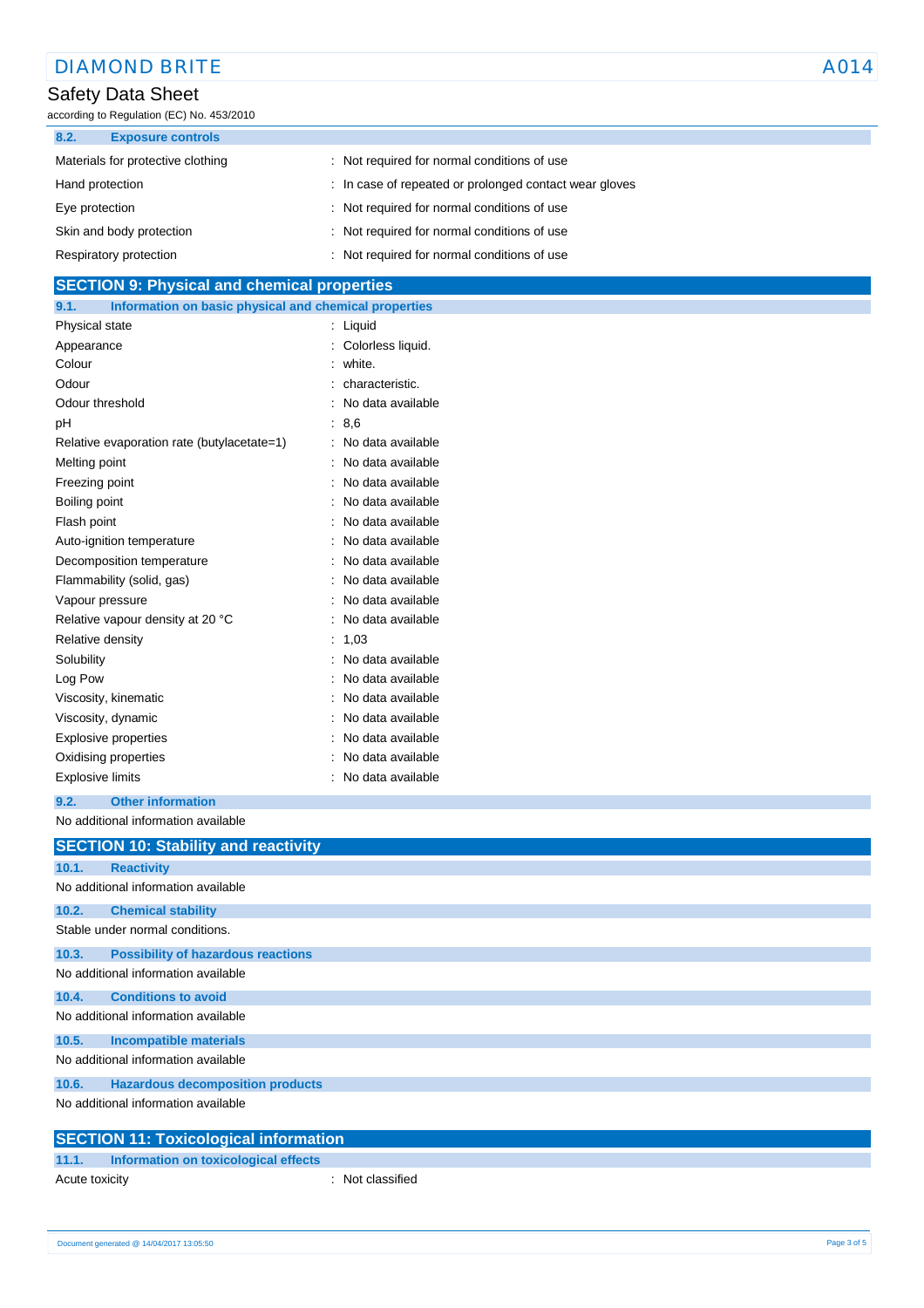| <b>DIAMOND BRITE</b>                      |                                                        | A014 |
|-------------------------------------------|--------------------------------------------------------|------|
| Safety Data Sheet                         |                                                        |      |
| according to Regulation (EC) No. 453/2010 |                                                        |      |
| 8.2.<br><b>Exposure controls</b>          |                                                        |      |
| Materials for protective clothing         | : Not required for normal conditions of use            |      |
| Hand protection                           | : In case of repeated or prolonged contact wear gloves |      |
| Eye protection                            | : Not required for normal conditions of use            |      |
| Skin and body protection                  | : Not required for normal conditions of use            |      |
| Respiratory protection                    | : Not required for normal conditions of use            |      |

## **SECTION 9: Physical and chemical properties 9.1. Information on basic physical and chemical properties** Physical state : Liquid Appearance : Colorless liquid. Colour : white. Odour : characteristic. Odour threshold **in the contract of the Contract of Contract Contract of Contract Contract Contract Contract Contract Contract Contract Contract Contract Contract Contract Contract Contract Contract Contract Contract Contr** pH : 8,6 Relative evaporation rate (butylacetate=1) : No data available Melting point **Melting point :** No data available Freezing point **in the case of the case of the case of the case of the case of the case of the case of the case of the case of the case of the case of the case of the case of the case of the case of the case of the case of** Boiling point **in the case of the case of the case of the case of the case of the case of the case of the case of the case of the case of the case of the case of the case of the case of the case of the case of the case of** Flash point **in the case of the case of the case of the case of the case of the case of the case of the case of the case of the case of the case of the case of the case of the case of the case of the case of the case of th** Auto-ignition temperature **interest and the Contract Auto-ignition** temperature intervalsed in No data available Decomposition temperature **interest and the Composition** control of the Decomposition temperature Flammability (solid, gas)  $\qquad \qquad$ : No data available Vapour pressure in the second second term of the SN of the Vapour pressure Relative vapour density at 20 °C : No data available

| Vapour pressure                  | : No data available |
|----------------------------------|---------------------|
| Relative vapour density at 20 °C | : No data available |
| Relative density                 | : 1,03              |
| Solubility                       | : No data available |
| Log Pow                          | : No data available |
| Viscosity, kinematic             | : No data available |
| Viscosity, dynamic               | : No data available |
| Explosive properties             | : No data available |
| Oxidising properties             | : No data available |
| <b>Explosive limits</b>          | : No data available |

#### **9.2. Other information**

No additional information available

|       | <b>SECTION 10: Stability and reactivity</b>  |
|-------|----------------------------------------------|
| 10.1. | <b>Reactivity</b>                            |
|       | No additional information available          |
| 10.2. | <b>Chemical stability</b>                    |
|       | Stable under normal conditions.              |
| 10.3. | <b>Possibility of hazardous reactions</b>    |
|       | No additional information available          |
| 10.4. | <b>Conditions to avoid</b>                   |
|       | No additional information available          |
| 10.5. | <b>Incompatible materials</b>                |
|       | No additional information available          |
| 10.6. | <b>Hazardous decomposition products</b>      |
|       | No additional information available          |
|       | <b>SECTION 11: Toxicological information</b> |

## **SECTION 11: Toxicological information**

| 11.1.          | Information on toxicological effects |                  |
|----------------|--------------------------------------|------------------|
| Acute toxicity |                                      | : Not classified |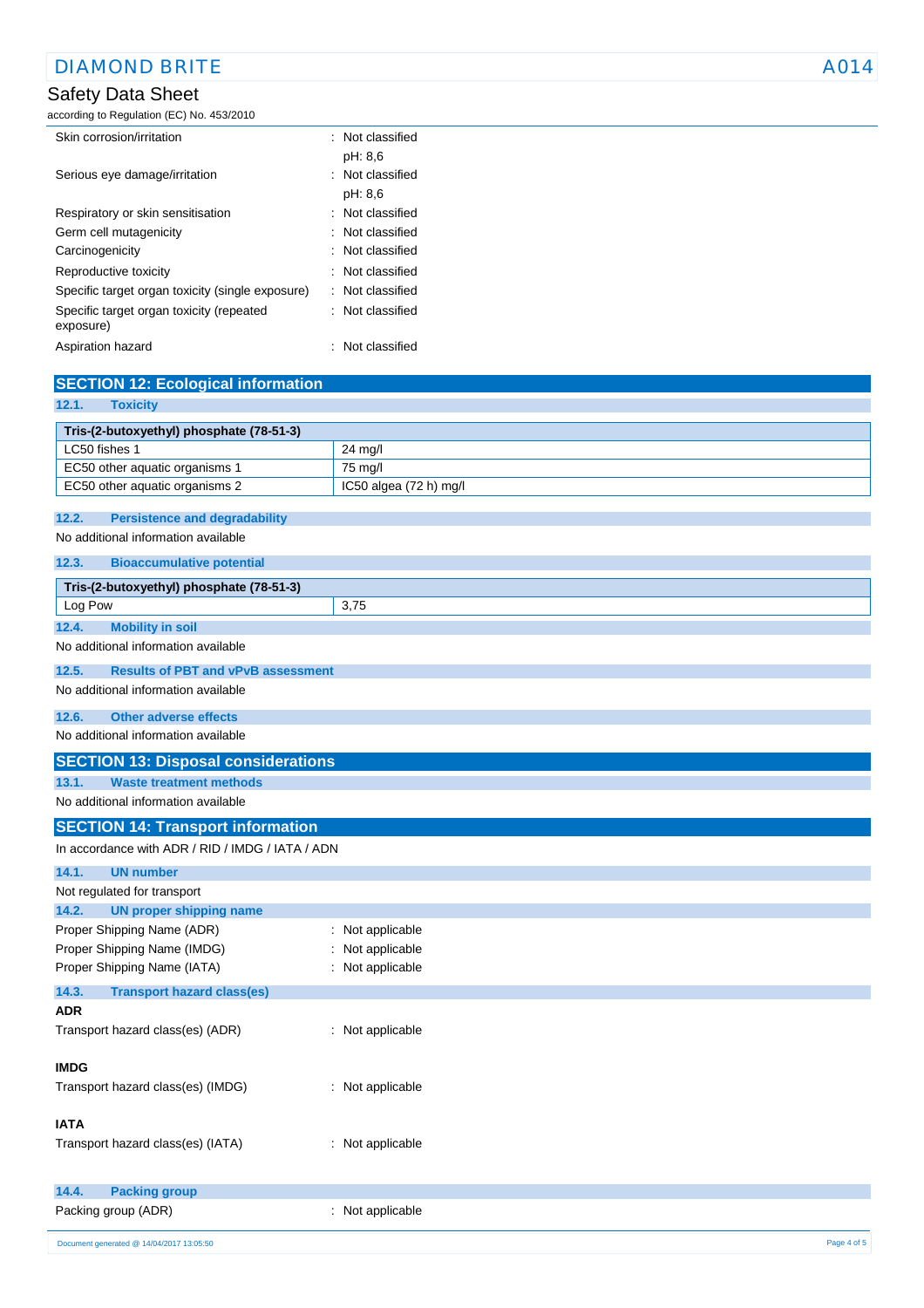## Safety Data Sheet

according to Regulation (EC) No. 453/2010

| Skin corrosion/irritation                             | $\therefore$ Not classified |
|-------------------------------------------------------|-----------------------------|
|                                                       | pH: 8.6                     |
| Serious eye damage/irritation                         | Not classified              |
|                                                       | pH: 8.6                     |
| Respiratory or skin sensitisation                     | : Not classified            |
| Germ cell mutagenicity                                | : Not classified            |
| Carcinogenicity                                       | : Not classified            |
| Reproductive toxicity                                 | $\therefore$ Not classified |
| Specific target organ toxicity (single exposure)      | : Not classified            |
| Specific target organ toxicity (repeated<br>exposure) | : Not classified            |
| Aspiration hazard                                     | Not classified              |

| <b>SECTION 12: Ecological information</b>                                   |                        |
|-----------------------------------------------------------------------------|------------------------|
| <b>Toxicity</b><br>12.1.                                                    |                        |
| Tris-(2-butoxyethyl) phosphate (78-51-3)                                    |                        |
| LC50 fishes 1                                                               | 24 mg/l                |
| EC50 other aquatic organisms 1                                              | 75 mg/l                |
| EC50 other aquatic organisms 2                                              | IC50 algea (72 h) mg/l |
| 12.2.                                                                       |                        |
| <b>Persistence and degradability</b><br>No additional information available |                        |
|                                                                             |                        |
| 12.3.<br><b>Bioaccumulative potential</b>                                   |                        |
| Tris-(2-butoxyethyl) phosphate (78-51-3)                                    |                        |
| Log Pow                                                                     | 3,75                   |
| 12.4.<br><b>Mobility in soil</b>                                            |                        |
| No additional information available                                         |                        |
| 12.5.<br><b>Results of PBT and vPvB assessment</b>                          |                        |
| No additional information available                                         |                        |
| 12.6.<br><b>Other adverse effects</b>                                       |                        |
| No additional information available                                         |                        |
| <b>SECTION 13: Disposal considerations</b>                                  |                        |
| 13.1.<br><b>Waste treatment methods</b>                                     |                        |
| No additional information available                                         |                        |
| <b>SECTION 14: Transport information</b>                                    |                        |
| In accordance with ADR / RID / IMDG / IATA / ADN                            |                        |
| 14.1.<br><b>UN number</b>                                                   |                        |
| Not regulated for transport                                                 |                        |
| 14.2.<br><b>UN proper shipping name</b>                                     |                        |
| Proper Shipping Name (ADR)                                                  | : Not applicable       |
| Proper Shipping Name (IMDG)<br>÷                                            | Not applicable         |
| Proper Shipping Name (IATA)                                                 | : Not applicable       |
| 14.3.<br><b>Transport hazard class(es)</b>                                  |                        |
| ADR                                                                         |                        |
| Transport hazard class(es) (ADR)<br>÷.                                      | Not applicable         |
|                                                                             |                        |
| <b>IMDG</b>                                                                 |                        |
| Transport hazard class(es) (IMDG)                                           | : Not applicable       |
| <b>IATA</b>                                                                 |                        |
| Transport hazard class(es) (IATA)                                           | : Not applicable       |
|                                                                             |                        |
| <b>Packing group</b><br>14.4.                                               |                        |
| Packing group (ADR)                                                         | : Not applicable       |